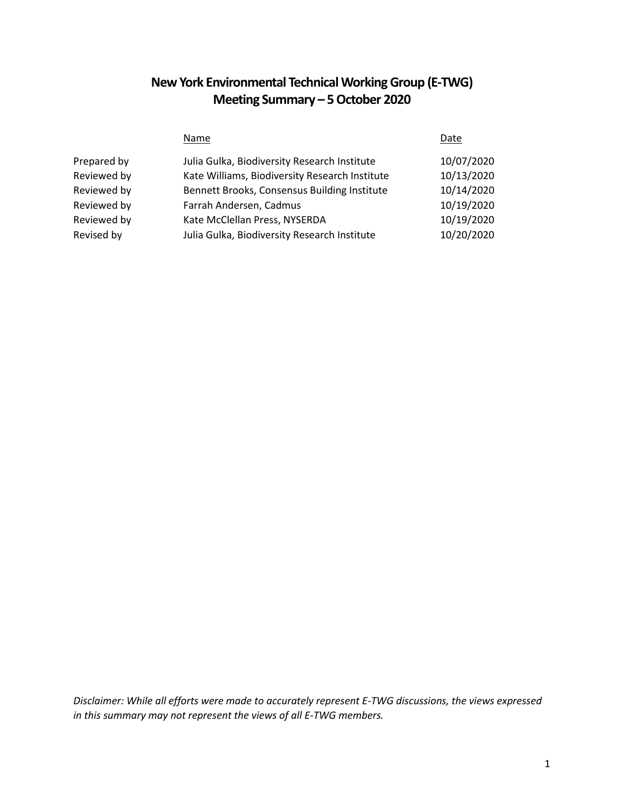# **New York Environmental Technical Working Group (E-TWG) Meeting Summary – 5 October 2020**

|             | Name                                           | Date       |
|-------------|------------------------------------------------|------------|
| Prepared by | Julia Gulka, Biodiversity Research Institute   | 10/07/2020 |
| Reviewed by | Kate Williams, Biodiversity Research Institute | 10/13/2020 |
| Reviewed by | Bennett Brooks, Consensus Building Institute   | 10/14/2020 |
| Reviewed by | Farrah Andersen, Cadmus                        | 10/19/2020 |
| Reviewed by | Kate McClellan Press, NYSERDA                  | 10/19/2020 |
| Revised by  | Julia Gulka, Biodiversity Research Institute   | 10/20/2020 |

*Disclaimer: While all efforts were made to accurately represent E-TWG discussions, the views expressed in this summary may not represent the views of all E-TWG members.*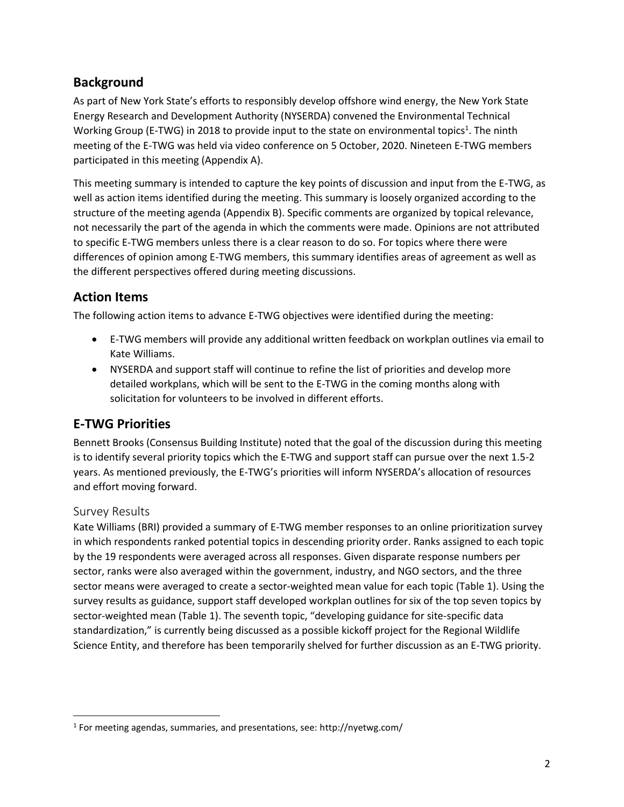## **Background**

As part of New York State's efforts to responsibly develop offshore wind energy, the New York State Energy Research and Development Authority (NYSERDA) convened the Environmental Technical Working Group (E-TWG) in 2018 to provide input to the state on environmental topics<sup>1</sup>. The ninth meeting of the E-TWG was held via video conference on 5 October, 2020. Nineteen E-TWG members participated in this meeting (Appendix A).

This meeting summary is intended to capture the key points of discussion and input from the E-TWG, as well as action items identified during the meeting. This summary is loosely organized according to the structure of the meeting agenda (Appendix B). Specific comments are organized by topical relevance, not necessarily the part of the agenda in which the comments were made. Opinions are not attributed to specific E-TWG members unless there is a clear reason to do so. For topics where there were differences of opinion among E-TWG members, this summary identifies areas of agreement as well as the different perspectives offered during meeting discussions.

## **Action Items**

The following action items to advance E-TWG objectives were identified during the meeting:

- E-TWG members will provide any additional written feedback on workplan outlines via email to Kate Williams.
- NYSERDA and support staff will continue to refine the list of priorities and develop more detailed workplans, which will be sent to the E-TWG in the coming months along with solicitation for volunteers to be involved in different efforts.

# **E-TWG Priorities**

Bennett Brooks (Consensus Building Institute) noted that the goal of the discussion during this meeting is to identify several priority topics which the E-TWG and support staff can pursue over the next 1.5-2 years. As mentioned previously, the E-TWG's priorities will inform NYSERDA's allocation of resources and effort moving forward.

### Survey Results

 $\overline{\phantom{a}}$ 

Kate Williams (BRI) provided a summary of E-TWG member responses to an online prioritization survey in which respondents ranked potential topics in descending priority order. Ranks assigned to each topic by the 19 respondents were averaged across all responses. Given disparate response numbers per sector, ranks were also averaged within the government, industry, and NGO sectors, and the three sector means were averaged to create a sector-weighted mean value for each topic (Table 1). Using the survey results as guidance, support staff developed workplan outlines for six of the top seven topics by sector-weighted mean (Table 1). The seventh topic, "developing guidance for site-specific data standardization," is currently being discussed as a possible kickoff project for the Regional Wildlife Science Entity, and therefore has been temporarily shelved for further discussion as an E-TWG priority.

<sup>&</sup>lt;sup>1</sup> For meeting agendas, summaries, and presentations, see: http://nyetwg.com/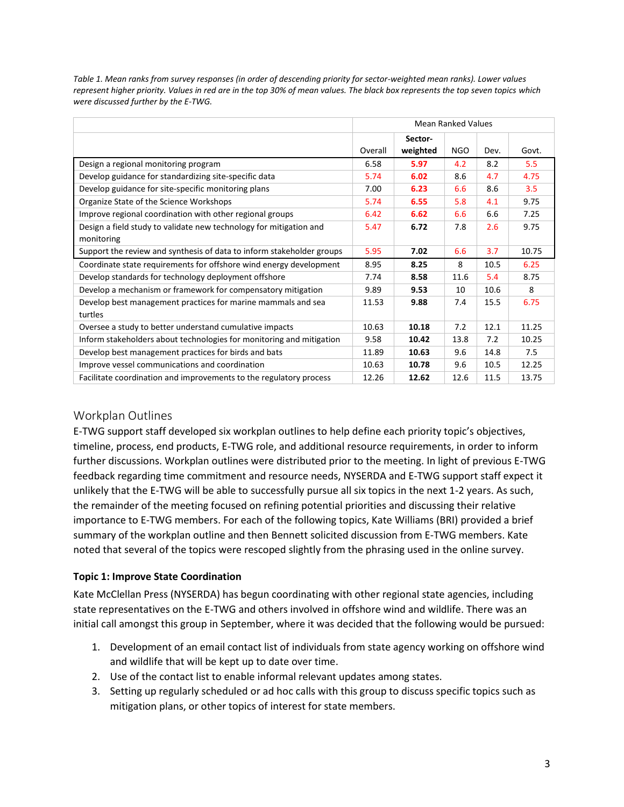|                                                                       | <b>Mean Ranked Values</b> |          |            |      |       |
|-----------------------------------------------------------------------|---------------------------|----------|------------|------|-------|
|                                                                       |                           | Sector-  |            |      |       |
|                                                                       | Overall                   | weighted | <b>NGO</b> | Dev. | Govt. |
| Design a regional monitoring program                                  |                           | 5.97     | 4.2        | 8.2  | 5.5   |
| Develop guidance for standardizing site-specific data                 |                           | 6.02     | 8.6        | 4.7  | 4.75  |
| Develop guidance for site-specific monitoring plans                   |                           | 6.23     | 6.6        | 8.6  | 3.5   |
| Organize State of the Science Workshops                               |                           | 6.55     | 5.8        | 4.1  | 9.75  |
| Improve regional coordination with other regional groups              |                           | 6.62     | 6.6        | 6.6  | 7.25  |
| Design a field study to validate new technology for mitigation and    |                           | 6.72     | 7.8        | 2.6  | 9.75  |
| monitoring                                                            |                           |          |            |      |       |
| Support the review and synthesis of data to inform stakeholder groups |                           | 7.02     | 6.6        | 3.7  | 10.75 |
| Coordinate state requirements for offshore wind energy development    |                           | 8.25     | 8          | 10.5 | 6.25  |
| Develop standards for technology deployment offshore                  |                           | 8.58     | 11.6       | 5.4  | 8.75  |
| Develop a mechanism or framework for compensatory mitigation          |                           | 9.53     | 10         | 10.6 | 8     |
| Develop best management practices for marine mammals and sea          |                           | 9.88     | 7.4        | 15.5 | 6.75  |
| turtles                                                               |                           |          |            |      |       |
| Oversee a study to better understand cumulative impacts               |                           | 10.18    | 7.2        | 12.1 | 11.25 |
| Inform stakeholders about technologies for monitoring and mitigation  |                           | 10.42    | 13.8       | 7.2  | 10.25 |
| Develop best management practices for birds and bats                  |                           | 10.63    | 9.6        | 14.8 | 7.5   |
| Improve vessel communications and coordination                        |                           | 10.78    | 9.6        | 10.5 | 12.25 |
| Facilitate coordination and improvements to the regulatory process    |                           | 12.62    | 12.6       | 11.5 | 13.75 |

*Table 1. Mean ranks from survey responses (in order of descending priority for sector-weighted mean ranks). Lower values represent higher priority. Values in red are in the top 30% of mean values. The black box represents the top seven topics which were discussed further by the E-TWG.*

### Workplan Outlines

E-TWG support staff developed six workplan outlines to help define each priority topic's objectives, timeline, process, end products, E-TWG role, and additional resource requirements, in order to inform further discussions. Workplan outlines were distributed prior to the meeting. In light of previous E-TWG feedback regarding time commitment and resource needs, NYSERDA and E-TWG support staff expect it unlikely that the E-TWG will be able to successfully pursue all six topics in the next 1-2 years. As such, the remainder of the meeting focused on refining potential priorities and discussing their relative importance to E-TWG members. For each of the following topics, Kate Williams (BRI) provided a brief summary of the workplan outline and then Bennett solicited discussion from E-TWG members. Kate noted that several of the topics were rescoped slightly from the phrasing used in the online survey.

#### **Topic 1: Improve State Coordination**

Kate McClellan Press (NYSERDA) has begun coordinating with other regional state agencies, including state representatives on the E-TWG and others involved in offshore wind and wildlife. There was an initial call amongst this group in September, where it was decided that the following would be pursued:

- 1. Development of an email contact list of individuals from state agency working on offshore wind and wildlife that will be kept up to date over time.
- 2. Use of the contact list to enable informal relevant updates among states.
- 3. Setting up regularly scheduled or ad hoc calls with this group to discuss specific topics such as mitigation plans, or other topics of interest for state members.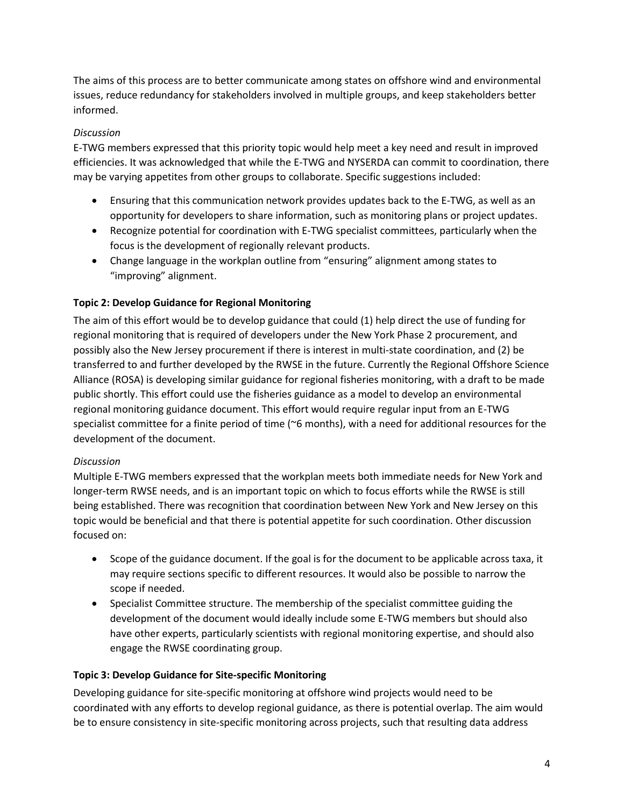The aims of this process are to better communicate among states on offshore wind and environmental issues, reduce redundancy for stakeholders involved in multiple groups, and keep stakeholders better informed.

### *Discussion*

E-TWG members expressed that this priority topic would help meet a key need and result in improved efficiencies. It was acknowledged that while the E-TWG and NYSERDA can commit to coordination, there may be varying appetites from other groups to collaborate. Specific suggestions included:

- Ensuring that this communication network provides updates back to the E-TWG, as well as an opportunity for developers to share information, such as monitoring plans or project updates.
- Recognize potential for coordination with E-TWG specialist committees, particularly when the focus is the development of regionally relevant products.
- Change language in the workplan outline from "ensuring" alignment among states to "improving" alignment.

### **Topic 2: Develop Guidance for Regional Monitoring**

The aim of this effort would be to develop guidance that could (1) help direct the use of funding for regional monitoring that is required of developers under the New York Phase 2 procurement, and possibly also the New Jersey procurement if there is interest in multi-state coordination, and (2) be transferred to and further developed by the RWSE in the future. Currently the Regional Offshore Science Alliance (ROSA) is developing similar guidance for regional fisheries monitoring, with a draft to be made public shortly. This effort could use the fisheries guidance as a model to develop an environmental regional monitoring guidance document. This effort would require regular input from an E-TWG specialist committee for a finite period of time (~6 months), with a need for additional resources for the development of the document.

#### *Discussion*

Multiple E-TWG members expressed that the workplan meets both immediate needs for New York and longer-term RWSE needs, and is an important topic on which to focus efforts while the RWSE is still being established. There was recognition that coordination between New York and New Jersey on this topic would be beneficial and that there is potential appetite for such coordination. Other discussion focused on:

- Scope of the guidance document. If the goal is for the document to be applicable across taxa, it may require sections specific to different resources. It would also be possible to narrow the scope if needed.
- Specialist Committee structure. The membership of the specialist committee guiding the development of the document would ideally include some E-TWG members but should also have other experts, particularly scientists with regional monitoring expertise, and should also engage the RWSE coordinating group.

#### **Topic 3: Develop Guidance for Site-specific Monitoring**

Developing guidance for site-specific monitoring at offshore wind projects would need to be coordinated with any efforts to develop regional guidance, as there is potential overlap. The aim would be to ensure consistency in site-specific monitoring across projects, such that resulting data address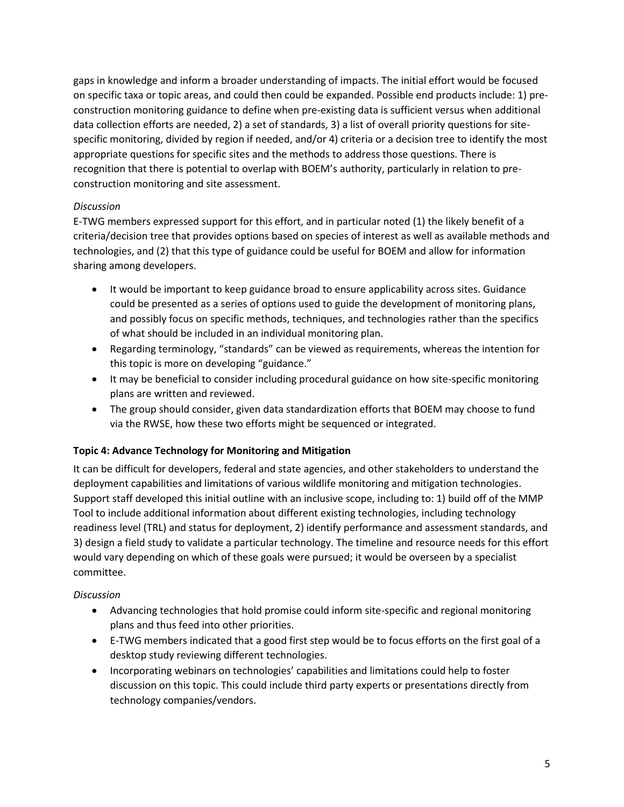gaps in knowledge and inform a broader understanding of impacts. The initial effort would be focused on specific taxa or topic areas, and could then could be expanded. Possible end products include: 1) preconstruction monitoring guidance to define when pre-existing data is sufficient versus when additional data collection efforts are needed, 2) a set of standards, 3) a list of overall priority questions for sitespecific monitoring, divided by region if needed, and/or 4) criteria or a decision tree to identify the most appropriate questions for specific sites and the methods to address those questions. There is recognition that there is potential to overlap with BOEM's authority, particularly in relation to preconstruction monitoring and site assessment.

#### *Discussion*

E-TWG members expressed support for this effort, and in particular noted (1) the likely benefit of a criteria/decision tree that provides options based on species of interest as well as available methods and technologies, and (2) that this type of guidance could be useful for BOEM and allow for information sharing among developers.

- It would be important to keep guidance broad to ensure applicability across sites. Guidance could be presented as a series of options used to guide the development of monitoring plans, and possibly focus on specific methods, techniques, and technologies rather than the specifics of what should be included in an individual monitoring plan.
- Regarding terminology, "standards" can be viewed as requirements, whereas the intention for this topic is more on developing "guidance."
- It may be beneficial to consider including procedural guidance on how site-specific monitoring plans are written and reviewed.
- The group should consider, given data standardization efforts that BOEM may choose to fund via the RWSE, how these two efforts might be sequenced or integrated.

#### **Topic 4: Advance Technology for Monitoring and Mitigation**

It can be difficult for developers, federal and state agencies, and other stakeholders to understand the deployment capabilities and limitations of various wildlife monitoring and mitigation technologies. Support staff developed this initial outline with an inclusive scope, including to: 1) build off of the MMP Tool to include additional information about different existing technologies, including technology readiness level (TRL) and status for deployment, 2) identify performance and assessment standards, and 3) design a field study to validate a particular technology. The timeline and resource needs for this effort would vary depending on which of these goals were pursued; it would be overseen by a specialist committee.

#### *Discussion*

- Advancing technologies that hold promise could inform site-specific and regional monitoring plans and thus feed into other priorities.
- E-TWG members indicated that a good first step would be to focus efforts on the first goal of a desktop study reviewing different technologies.
- Incorporating webinars on technologies' capabilities and limitations could help to foster discussion on this topic. This could include third party experts or presentations directly from technology companies/vendors.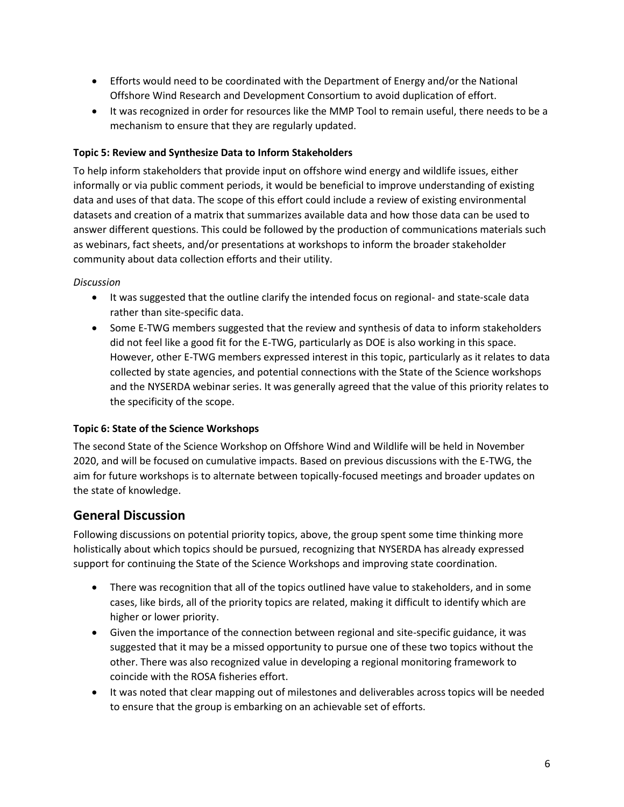- Efforts would need to be coordinated with the Department of Energy and/or the National Offshore Wind Research and Development Consortium to avoid duplication of effort.
- It was recognized in order for resources like the MMP Tool to remain useful, there needs to be a mechanism to ensure that they are regularly updated.

#### **Topic 5: Review and Synthesize Data to Inform Stakeholders**

To help inform stakeholders that provide input on offshore wind energy and wildlife issues, either informally or via public comment periods, it would be beneficial to improve understanding of existing data and uses of that data. The scope of this effort could include a review of existing environmental datasets and creation of a matrix that summarizes available data and how those data can be used to answer different questions. This could be followed by the production of communications materials such as webinars, fact sheets, and/or presentations at workshops to inform the broader stakeholder community about data collection efforts and their utility.

#### *Discussion*

- It was suggested that the outline clarify the intended focus on regional- and state-scale data rather than site-specific data.
- Some E-TWG members suggested that the review and synthesis of data to inform stakeholders did not feel like a good fit for the E-TWG, particularly as DOE is also working in this space. However, other E-TWG members expressed interest in this topic, particularly as it relates to data collected by state agencies, and potential connections with the State of the Science workshops and the NYSERDA webinar series. It was generally agreed that the value of this priority relates to the specificity of the scope.

#### **Topic 6: State of the Science Workshops**

The second State of the Science Workshop on Offshore Wind and Wildlife will be held in November 2020, and will be focused on cumulative impacts. Based on previous discussions with the E-TWG, the aim for future workshops is to alternate between topically-focused meetings and broader updates on the state of knowledge.

### **General Discussion**

Following discussions on potential priority topics, above, the group spent some time thinking more holistically about which topics should be pursued, recognizing that NYSERDA has already expressed support for continuing the State of the Science Workshops and improving state coordination.

- There was recognition that all of the topics outlined have value to stakeholders, and in some cases, like birds, all of the priority topics are related, making it difficult to identify which are higher or lower priority.
- Given the importance of the connection between regional and site-specific guidance, it was suggested that it may be a missed opportunity to pursue one of these two topics without the other. There was also recognized value in developing a regional monitoring framework to coincide with the ROSA fisheries effort.
- It was noted that clear mapping out of milestones and deliverables across topics will be needed to ensure that the group is embarking on an achievable set of efforts.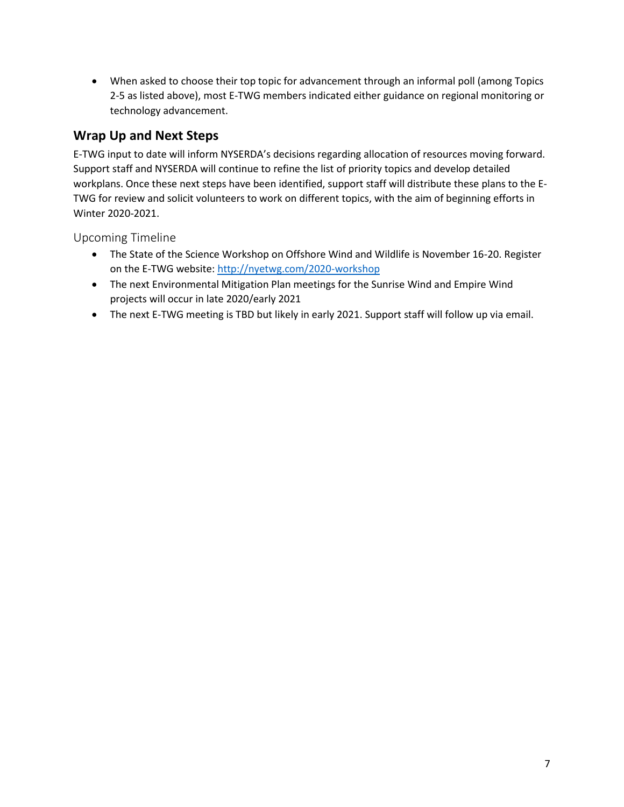• When asked to choose their top topic for advancement through an informal poll (among Topics 2-5 as listed above), most E-TWG members indicated either guidance on regional monitoring or technology advancement.

# **Wrap Up and Next Steps**

E-TWG input to date will inform NYSERDA's decisions regarding allocation of resources moving forward. Support staff and NYSERDA will continue to refine the list of priority topics and develop detailed workplans. Once these next steps have been identified, support staff will distribute these plans to the E-TWG for review and solicit volunteers to work on different topics, with the aim of beginning efforts in Winter 2020-2021.

Upcoming Timeline

- The State of the Science Workshop on Offshore Wind and Wildlife is November 16-20. Register on the E-TWG website:<http://nyetwg.com/2020-workshop>
- The next Environmental Mitigation Plan meetings for the Sunrise Wind and Empire Wind projects will occur in late 2020/early 2021
- The next E-TWG meeting is TBD but likely in early 2021. Support staff will follow up via email.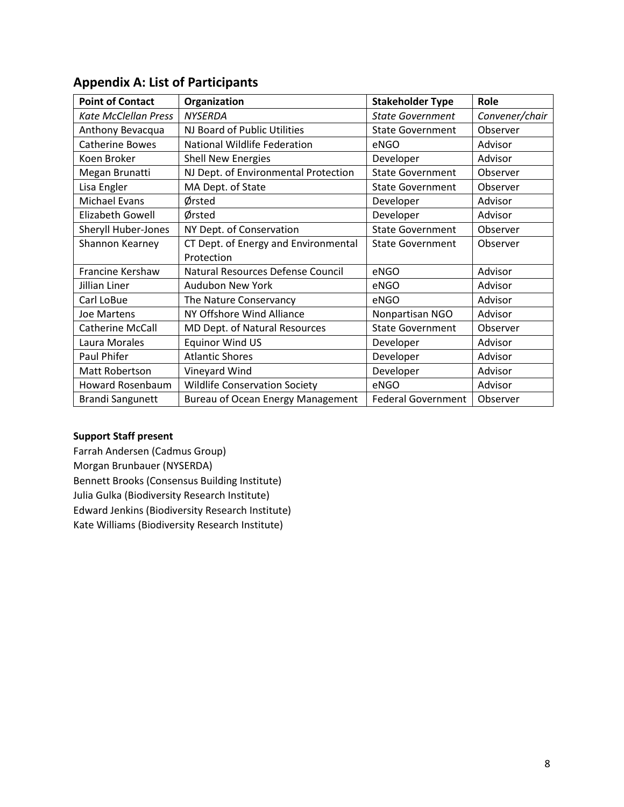| <b>Point of Contact</b>     | Organization                         | <b>Stakeholder Type</b>   | Role           |
|-----------------------------|--------------------------------------|---------------------------|----------------|
| <b>Kate McClellan Press</b> | <b>NYSERDA</b>                       | <b>State Government</b>   | Convener/chair |
| Anthony Bevacqua            | NJ Board of Public Utilities         | <b>State Government</b>   | Observer       |
| <b>Catherine Bowes</b>      | National Wildlife Federation         | eNGO                      | Advisor        |
| Koen Broker                 | <b>Shell New Energies</b>            | Developer                 | Advisor        |
| Megan Brunatti              | NJ Dept. of Environmental Protection | <b>State Government</b>   | Observer       |
| Lisa Engler                 | MA Dept. of State                    | <b>State Government</b>   | Observer       |
| <b>Michael Evans</b>        | Ørsted                               | Developer                 | Advisor        |
| Elizabeth Gowell            | Ørsted                               | Developer                 | Advisor        |
| Sheryll Huber-Jones         | NY Dept. of Conservation             | <b>State Government</b>   | Observer       |
| Shannon Kearney             | CT Dept. of Energy and Environmental | <b>State Government</b>   | Observer       |
|                             | Protection                           |                           |                |
| Francine Kershaw            | Natural Resources Defense Council    | eNGO                      | Advisor        |
| Jillian Liner               | Audubon New York                     | eNGO                      | Advisor        |
| Carl LoBue                  | The Nature Conservancy               | eNGO                      | Advisor        |
| Joe Martens                 | NY Offshore Wind Alliance            | Nonpartisan NGO           | Advisor        |
| <b>Catherine McCall</b>     | MD Dept. of Natural Resources        | <b>State Government</b>   | Observer       |
| Laura Morales               | <b>Equinor Wind US</b>               | Developer                 | Advisor        |
| Paul Phifer                 | <b>Atlantic Shores</b>               | Developer                 | Advisor        |
| Matt Robertson              | Vineyard Wind                        | Developer                 | Advisor        |
| Howard Rosenbaum            | <b>Wildlife Conservation Society</b> | eNGO                      | Advisor        |
| <b>Brandi Sangunett</b>     | Bureau of Ocean Energy Management    | <b>Federal Government</b> | Observer       |

## **Appendix A: List of Participants**

#### **Support Staff present**

Farrah Andersen (Cadmus Group) Morgan Brunbauer (NYSERDA) Bennett Brooks (Consensus Building Institute) Julia Gulka (Biodiversity Research Institute) Edward Jenkins (Biodiversity Research Institute) Kate Williams (Biodiversity Research Institute)